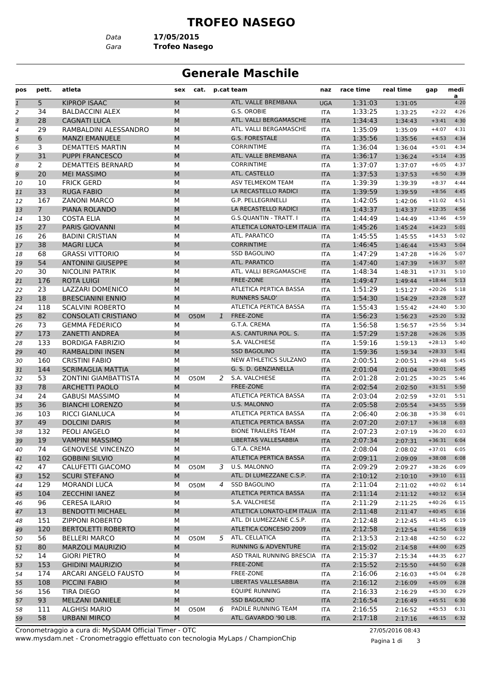## **TROFEO NASEGO**

*Data* **17/05/2015**

*Gara* **Trofeo Nasego**

## **Generale Maschile**

| pos            | pett.           | atleta                                           | sex    | cat.        |   | p.cat team                            | naz                      | race time          | real time          | gap                  | medi<br>a    |
|----------------|-----------------|--------------------------------------------------|--------|-------------|---|---------------------------------------|--------------------------|--------------------|--------------------|----------------------|--------------|
| $\mathbf{1}$   | 5               | <b>KIPROP ISAAC</b>                              | M      |             |   | ATL. VALLE BREMBANA                   | <b>UGA</b>               | 1:31:03            | 1:31:05            |                      | 4:20         |
| 2              | 34              | <b>BALDACCINI ALEX</b>                           | м      |             |   | G.S. OROBIE                           | ITA                      | 1:33:25            | 1:33:25            | $+2:22$              | 4:26         |
| 3              | 28              | <b>CAGNATI LUCA</b>                              | M      |             |   | ATL. VALLI BERGAMASCHE                | <b>ITA</b>               | 1:34:43            | 1:34:43            | $+3:41$              | 4:30         |
| 4              | 29              | RAMBALDINI ALESSANDRO                            | М      |             |   | ATL. VALLI BERGAMASCHE                | <b>ITA</b>               | 1:35:09            | 1:35:09            | $+4:07$              | 4:31         |
| 5              | 6               | <b>MANZI EMANUELE</b>                            | M      |             |   | <b>G.S. FORESTALE</b>                 | <b>ITA</b>               | 1:35:56            | 1:35:56            | $+4:53$              | 4:34         |
| 6              | 3               | <b>DEMATTEIS MARTIN</b>                          | М      |             |   | <b>CORRINTIME</b>                     | ITA                      | 1:36:04            | 1:36:04            | $+5:01$              | 4:34         |
| $\overline{7}$ | 31              | <b>PUPPI FRANCESCO</b>                           | M      |             |   | ATL. VALLE BREMBANA                   | <b>ITA</b>               | 1:36:17            | 1:36:24            | $+5:14$              | 4:35         |
| 8              | $\overline{2}$  | <b>DEMATTEIS BERNARD</b>                         | м      |             |   | <b>CORRINTIME</b>                     | <b>ITA</b>               | 1:37:07            | 1:37:07            | $+6:05$              | 4:37         |
| 9              | 20              | <b>MEI MASSIMO</b>                               | M      |             |   | ATL. CASTELLO                         | <b>ITA</b>               | 1:37:53            | 1:37:53            | $+6:50$              | 4:39         |
| 10             | 10              | <b>FRICK GERD</b>                                | М      |             |   | ASV TELMEKOM TEAM                     | <b>ITA</b>               | 1:39:39            | 1:39:39            | $+8:37$              | 4:44         |
| 11             | 33              | <b>RUGA FABIO</b>                                | M      |             |   | LA RECASTELLO RADICI                  | <b>ITA</b>               | 1:39:59            | 1:39:59            | $+8:56$              | 4:45         |
| 12             | 167             | <b>ZANONI MARCO</b>                              | M      |             |   | G.P. PELLEGRINELLI                    | <b>ITA</b>               | 1:42:05            | 1:42:06            | $+11:02$             | 4:51         |
| 13             | $7\overline{ }$ | PIANA ROLANDO                                    | M      |             |   | LA RECASTELLO RADICI                  | <b>ITA</b>               | 1:43:37            | 1:43:37            | $+12:35$             | 4:56         |
| 14             | 130             | <b>COSTA ELIA</b>                                | М      |             |   | G.S.QUANTIN - TRATT. I                | ITA                      | 1:44:49            | 1:44:49            | $+13:46$             | 4:59         |
| 15             | 27              | <b>PARIS GIOVANNI</b>                            | M      |             |   | ATLETICA LONATO-LEM ITALIA ITA        |                          | 1:45:26            | 1:45:24            | $+14:23$             | 5:01         |
| 16             | 26              | <b>BADINI CRISTIAN</b>                           | М      |             |   | ATL. PARATICO                         | <b>ITA</b>               | 1:45:55            | 1:45:55            | $+14:53$             | 5:02         |
| 17             | 38              | <b>MAGRI LUCA</b>                                | M      |             |   | <b>CORRINTIME</b>                     | <b>ITA</b>               | 1:46:45            | 1:46:44            | $+15:43$             | 5:04         |
| 18             | 68              | <b>GRASSI VITTORIO</b>                           | M      |             |   | <b>SSD BAGOLINO</b>                   | ITA                      | 1:47:29            | 1:47:28            | $+16:26$             | 5:07         |
| 19             | 54              | <b>ANTONINI GIUSEPPE</b>                         | M      |             |   | ATL. PARATICO                         | <b>ITA</b>               | 1:47:40            | 1:47:39            | $+16:37$             | 5:07         |
| 20             | 30              | NICOLINI PATRIK                                  | м      |             |   | ATL. VALLI BERGAMASCHE                | ITA                      | 1:48:34            | 1:48:31            | $+17:31$             | 5:10         |
| 21             | 176             | <b>ROTA LUIGI</b>                                | M      |             |   | <b>FREE-ZONE</b>                      | <b>ITA</b>               | 1:49:47            | 1:49:44            | $+18:44$             | 5:13         |
| 22             | 23              | LAZZARI DOMENICO                                 | М      |             |   | ATLETICA PERTICA BASSA                | ITA                      | 1:51:29            | 1:51:27            | $+20:26$             | 5:18         |
| 23             | 18              | <b>BRESCIANINI ENNIO</b>                         | M      |             |   | <b>RUNNERS SALO'</b>                  | <b>ITA</b>               | 1:54:30            | 1:54:29            | $+23:28$             | 5:27         |
| 24             | 118             | <b>SCALVINI ROBERTO</b>                          | м      |             |   | ATLETICA PERTICA BASSA                | ITA                      | 1:55:43            | 1:55:42            | $+24:40$             | 5:30         |
| 25             | 82              | <b>CONSOLATI CRISTIANO</b>                       | M      | <b>O50M</b> | 1 | FREE-ZONE                             | <b>ITA</b>               | 1:56:23            | 1:56:23            | $+25:20$             | 5:32         |
| 26             | 73              | <b>GEMMA FEDERICO</b>                            | м      |             |   | G.T.A. CREMA                          | <b>ITA</b>               | 1:56:58            | 1:56:57            | $+25:56$             | 5:34         |
| 27             | 173             | <b>ZANETTI ANDREA</b>                            | M      |             |   | A.S. CANTURINA POL. S.                | <b>ITA</b>               | 1:57:29            | 1:57:28            | $+26:26$             | 5:35         |
| 28             | 133<br>40       | <b>BORDIGA FABRIZIO</b>                          | М<br>M |             |   | S.A. VALCHIESE<br><b>SSD BAGOLINO</b> | <b>ITA</b>               | 1:59:16<br>1:59:36 | 1:59:13            | $+28:13$<br>$+28:33$ | 5:40<br>5:41 |
| 29             | 160             | <b>RAMBALDINI INSEN</b><br><b>CRISTINI FABIO</b> | M      |             |   | NEW ATHLETICS SULZANO                 | <b>ITA</b><br><b>ITA</b> | 2:00:51            | 1:59:34            | $+29:48$             | 5:45         |
| 30<br>31       | 144             | <b>SCRIMAGLIA MATTIA</b>                         | M      |             |   | G. S. D. GENZIANELLA                  | <b>ITA</b>               | 2:01:04            | 2:00:51<br>2:01:04 | $+30:01$             | 5:45         |
| 32             | 53              | <b>ZONTINI GIAMBATTISTA</b>                      | М      | <b>O50M</b> |   | 2 S.A. VALCHIESE                      | ITA                      | 2:01:28            | 2:01:25            | $+30:25$             | 5:46         |
| 33             | 78              | <b>ARCHETTI PAOLO</b>                            | M      |             |   | <b>FREE-ZONE</b>                      | <b>ITA</b>               | 2:02:54            | 2:02:50            | $+31:51$             | 5:50         |
| 34             | 24              | <b>GABUSI MASSIMO</b>                            | М      |             |   | ATLETICA PERTICA BASSA                | ITA                      | 2:03:04            | 2:02:59            | $+32:01$             | 5:51         |
| 35             | 36              | <b>BIANCHI LORENZO</b>                           | M      |             |   | <b>U.S. MALONNO</b>                   | <b>ITA</b>               | 2:05:58            | 2:05:54            | $+34:55$             | 5:59         |
| 36             | 103             | <b>RICCI GIANLUCA</b>                            | М      |             |   | ATLETICA PERTICA BASSA                | ITA                      | 2:06:40            | 2:06:38            | $+35:38$             | 6:01         |
| 37             | 49              | <b>DOLCINI DARIS</b>                             | M      |             |   | <b>ATLETICA PERTICA BASSA</b>         | <b>ITA</b>               | 2:07:20            | 2:07:17            | $+36:18$             | 6:03         |
| 38             | 132             | PEOLI ANGELO                                     | M      |             |   | <b>BIONE TRAILERS TEAM</b>            | <b>ITA</b>               | 2:07:23            | 2:07:19            | $+36:20$             | 6:03         |
| 39             | 19              | <b>VAMPINI MASSIMO</b>                           | M      |             |   | LIBERTAS VALLESABBIA                  | <b>ITA</b>               | 2:07:34            | 2:07:31            | $+36:31$             | 6:04         |
| 40             | 74              | <b>GENOVESE VINCENZO</b>                         | М      |             |   | G.T.A. CREMA                          | ITA                      | 2:08:04            | 2:08:02            | $+37:01$             | 6:05         |
| 41             | 102             | <b>GOBBINI SILVIO</b>                            | M      |             |   | ATLETICA PERTICA BASSA                | <b>ITA</b>               | 2:09:11            | 2:09:09            | $+38:08$             | 6:08         |
| 42             | 47              | CALUFETTI GIACOMO                                | М      | <b>O50M</b> | 3 | U.S. MALONNO                          | ITA                      | 2:09:29            | 2:09:27            | $+38:26$             | 6:09         |
| 43             | 152             | <b>SCURI STEFANO</b>                             | M      |             |   | ATL. DI LUMEZZANE C.S.P.              | <b>ITA</b>               | 2:10:12            | 2:10:10            | $+39:10$             | 6:11         |
| 44             | 129             | MORANDI LUCA                                     | М      | O50M        |   | 4 SSD BAGOLINO                        | ITA                      | 2:11:04            | 2:11:02            | $+40:02$             | 6:14         |
| 45             | 104             | <b>ZECCHINI IANEZ</b>                            | M      |             |   | ATLETICA PERTICA BASSA                | <b>ITA</b>               | 2:11:14            | 2:11:12            | $+40:12$             | 6:14         |
| 46             | 96              | CERESA ILARIO                                    | М      |             |   | S.A. VALCHIESE                        | ITA                      | 2:11:29            | 2:11:25            | $+40:26$             | 6:15         |
| 47             | 13              | <b>BENDOTTI MICHAEL</b>                          | M      |             |   | ATLETICA LONATO-LEM ITALIA ITA        |                          | 2:11:48            | 2:11:47            | $+40:45$             | 6:16         |
| 48             | 151             | <b>ZIPPONI ROBERTO</b>                           | М      |             |   | ATL. DI LUMEZZANE C.S.P.              | ITA.                     | 2:12:48            | 2:12:45            | $+41:45$             | 6:19         |
| 49             | 120             | <b>BERTOLETTI ROBERTO</b>                        | M      |             |   | ATLETICA CONCESIO 2009                | <b>ITA</b>               | 2:12:58            | 2:12:54            | $+41:56$             | 6:19         |
| 50             | 56              | <b>BELLERI MARCO</b>                             | М      | <b>O50M</b> |   | 5 ATL. CELLATICA                      | ITA                      | 2:13:53            | 2:13:48            | $+42:50$             | 6:22         |
| 51             | 80              | <b>MARZOLI MAURIZIO</b>                          | M      |             |   | <b>RUNNING &amp; ADVENTURE</b>        | <b>ITA</b>               | 2:15:02            | 2:14:58            | $+44:00$             | 6:25         |
| 52             | 14              | <b>GIORI PIETRO</b>                              | м      |             |   | ASD TRAIL RUNNING BRESCIA             | <b>ITA</b>               | 2:15:37            | 2:15:34            | $+44:35$             | 6:27         |
| 53             | 153             | <b>GHIDINI MAURIZIO</b>                          | M      |             |   | FREE-ZONE                             | <b>ITA</b>               | 2:15:52            | 2:15:50            | $+44:50$             | 6:28         |
| 54             | 174             | ARCARI ANGELO FAUSTO                             | М      |             |   | FREE-ZONE                             | ITA                      | 2:16:06            | 2:16:03            | $+45:04$             | 6:28         |
| 55             | 108             | PICCINI FABIO                                    | M      |             |   | LIBERTAS VALLESABBIA                  | <b>ITA</b>               | 2:16:12            | 2:16:09            | $+45:09$             | 6:28         |
| 56             | 156             | TIRA DIEGO                                       | м      |             |   | EQUIPE RUNNING                        | ITA                      | 2:16:33            | 2:16:29            | $+45:30$             | 6:29         |
| 57             | 93              | <b>MELZANI DANIELE</b>                           | M      |             |   | <b>SSD BAGOLINO</b>                   | <b>ITA</b>               | 2:16:54            | 2:16:49            | $+45:51$             | 6:30         |
| 58             | 111             | ALGHISI MARIO                                    | м      | O50M        | 6 | PADILE RUNNING TEAM                   | ITA                      | 2:16:55            | 2:16:52            | $+45:53$             | 6:31         |
| 59             | 58              | <b>URBANI MIRCO</b>                              | M      |             |   | ATL. GAVARDO '90 LIB.                 | <b>ITA</b>               | 2:17:18            | 2:17:16            | $+46:15$             | 6:32         |

www.mysdam.net - Cronometraggio effettuato con tecnologia MyLaps / ChampionChip Cronometraggio a cura di: MySDAM Official Timer - OTC 27/05/2016 08:43

Pagina 1 di 3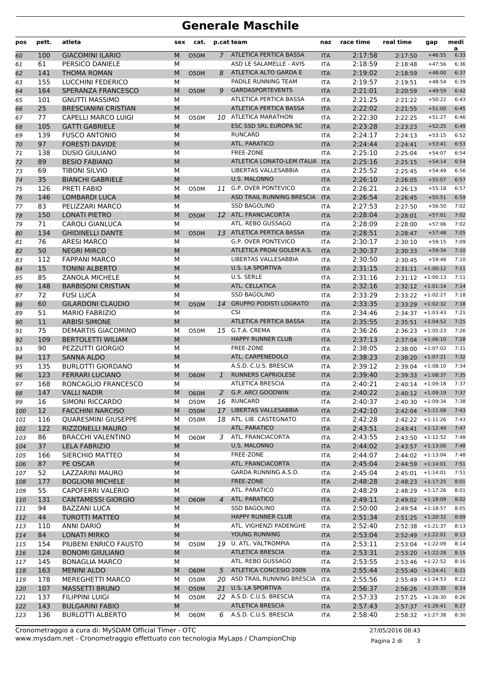## **Generale Maschile**

| pos        | pett.      | atleta                                            | sex       | cat.        |                | p.cat team                                       | naz                      | race time          | real time                     | gap                              | medi<br>a    |
|------------|------------|---------------------------------------------------|-----------|-------------|----------------|--------------------------------------------------|--------------------------|--------------------|-------------------------------|----------------------------------|--------------|
| 60         | 100        | <b>GIACOMINI ILARIO</b>                           | M         | <b>O50M</b> | $\overline{7}$ | <b>ATLETICA PERTICA BASSA</b>                    | <b>ITA</b>               | 2:17:58            | 2:17:50                       | $+46:55$                         | 6:33         |
| 61         | 61         | PERSICO DANIELE                                   | М         |             |                | ASD LE SALAMELLE - AVIS                          | <b>ITA</b>               | 2:18:59            | 2:18:48                       | $+47:56$                         | 6:36         |
| 62         | 141        | <b>THOMA ROMAN</b>                                | M         | <b>O50M</b> | 8              | ATLETICA ALTO GARDA E                            | <b>ITA</b>               | 2:19:02            | 2:18:59                       | $+48:00$                         | 6:37         |
| 63         | 155        | <b>LUCCHINI FEDERICO</b>                          | M         |             |                | PADILE RUNNING TEAM                              | <b>ITA</b>               | 2:19:57            | 2:19:51                       | $+48:54$                         | 6:39         |
| 64         | 164        | SPERANZA FRANCESCO                                | M         | <b>O50M</b> | 9              | <b>GARDASPORTEVENTS</b>                          | <b>ITA</b>               | 2:21:01            | 2:20:59                       | $+49:59$                         | 6:42         |
| 65         | 101        | <b>GNUTTI MASSIMO</b>                             | M         |             |                | ATLETICA PERTICA BASSA                           | <b>ITA</b>               | 2:21:25            | 2:21:22                       | $+50:22$                         | 6:43         |
| 66         | 25         | <b>BRESCIANINI CRISTIAN</b>                       | M         |             |                | <b>ATLETICA PERTICA BASSA</b>                    | <b>ITA</b>               | 2:22:02            | 2:21:55                       | $+51:00$                         | 6:45         |
| 67         | 77         | <b>CAPELLI MARCO LUIGI</b>                        | М         | 050M        |                | 10 ATLETICA MARATHON                             | <b>ITA</b>               | 2:22:30            | 2:22:25                       | $+51:27$                         | 6:46         |
| 68         | 105        | <b>GATTI GABRIELE</b>                             | ${\sf M}$ |             |                | <b>ESC SSD SRL EUROPA SC</b>                     | <b>ITA</b>               | 2:23:28            | 2:23:23                       | $+52:25$                         | 6:49         |
| 69         | 139        | <b>FUSCO ANTONIO</b>                              | M         |             |                | <b>RUNCARD</b>                                   | <b>ITA</b>               | 2:24:17            | 2:24:13                       | $+53:15$                         | 6:52         |
| 70         | 97         | <b>FORESTI DAVIDE</b>                             | M         |             |                | <b>ATL, PARATICO</b>                             | <b>ITA</b>               | 2:24:44            | 2:24:41                       | $+53:41$                         | 6:53         |
| 71         | 138        | <b>DUSIO GIULIANO</b>                             | М         |             |                | FREE-ZONE                                        | <b>ITA</b>               | 2:25:10            | 2:25:04                       | $+54:07$                         | 6:54         |
| 72         | 89         | <b>BESIO FABIANO</b>                              | M         |             |                | ATLETICA LONATO-LEM ITALIA                       | <b>ITA</b>               | 2:25:16            | 2:25:15                       | $+54:14$                         | 6:54         |
| 73         | 69         | <b>TIBONI SILVIO</b>                              | М         |             |                | LIBERTAS VALLESABBIA                             | <b>ITA</b>               | 2:25:52            | 2:25:45                       | $+54:49$                         | 6:56         |
| 74         | 35         | <b>BIANCHI GABRIELE</b>                           | M         |             |                | <b>U.S. MALONNO</b>                              | <b>ITA</b>               | 2:26:10            | 2:26:05                       | $+55:07$                         | 6:57         |
| 75         | 126        | PRETI FABIO                                       | М         | <b>O50M</b> | 11             | <b>G.P. OVER PONTEVICO</b>                       | <b>ITA</b>               | 2:26:21            | 2:26:13                       | $+55:18$                         | 6:57         |
| 76         | 146        | <b>LOMBARDI LUCA</b>                              | M         |             |                | ASD TRAIL RUNNING BRESCIA                        | <b>ITA</b>               | 2:26:54            | 2:26:45                       | $+55:51$                         | 6:59         |
| 77         | 83         | PELIZZARI MARCO                                   | М         |             |                | <b>SSD BAGOLINO</b>                              | <b>ITA</b>               | 2:27:53            | 2:27:50                       | $+56:50$                         | 7:02         |
| 78         | 150        | <b>LONATI PIETRO</b>                              | M         | <b>O50M</b> |                | 12 ATL. FRANCIACORTA<br>ATL. REBO GUSSAGO        | <b>ITA</b>               | 2:28:04            | 2:28:01                       | $+57:01$                         | 7:02         |
| 79         | 71         | <b>CAROLI GIANLUCA</b><br><b>GHIDINELLI DANTE</b> | М         |             |                | 13 ATLETICA PERTICA BASSA                        | <b>ITA</b>               | 2:28:09<br>2:28:51 | 2:28:00                       | $+57:06$                         | 7:02<br>7:05 |
| 80         | 134        |                                                   | M         | <b>O50M</b> |                | <b>G.P. OVER PONTEVICO</b>                       | <b>ITA</b>               |                    | 2:28:47                       | $+57:48$<br>$+59:15$             | 7:09         |
| 81         | 76<br>50   | <b>ARESI MARCO</b><br><b>NEGRI MIRCO</b>          | M<br>M    |             |                | ATLETICA PROAI GOLEM A.S.                        | <b>ITA</b><br><b>ITA</b> | 2:30:17<br>2:30:37 | 2:30:10<br>2:30:33            | $+59:34$                         | 7:10         |
| 82         | 112        | <b>FAPPANI MARCO</b>                              | M         |             |                | LIBERTAS VALLESABBIA                             | <b>ITA</b>               | 2:30:50            | 2:30:45                       | $+59:48$                         | 7:10         |
| 83<br>84   | 15         | <b>TONINI ALBERTO</b>                             | M         |             |                | <b>U.S. LA SPORTIVA</b>                          | <b>ITA</b>               | 2:31:15            | 2:31:11                       | $+1:00:12$                       | 7:11         |
| 85         | 85         | <b>ZANOLA MICHELE</b>                             | М         |             |                | U.S. SERLE                                       | <b>ITA</b>               | 2:31:16            | 2:31:12                       | $+1:00:13$                       | 7:11         |
| 86         | 148        | <b>BARBISONI CRISTIAN</b>                         | M         |             |                | ATL. CELLATICA                                   | <b>ITA</b>               | 2:32:16            |                               | $2:32:12$ +1:01:14               | 7:14         |
| 87         | 72         | <b>FUSI LUCA</b>                                  | М         |             |                | <b>SSD BAGOLINO</b>                              | <b>ITA</b>               | 2:33:29            | 2:33:22                       | $+1:02:27$                       | 7:18         |
| 88         | 60         | <b>GILARDONI CLAUDIO</b>                          | M         | <b>O50M</b> | 14             | <b>GRUPPO PODISTI LOGRATO</b>                    | <b>ITA</b>               | 2:33:35            |                               | $2:33:29$ +1:02:32               | 7:18         |
| 89         | 51         | <b>MARIO FABRIZIO</b>                             | M         |             |                | <b>CSI</b>                                       | <b>ITA</b>               | 2:34:46            |                               | $2:34:37$ +1:03:43               | 7:21         |
| 90         | 11         | <b>ARBISI SIMONE</b>                              | M         |             |                | ATLETICA PERTICA BASSA                           | <b>ITA</b>               | 2:35:55            | $2:35:51$ +1:04:52            |                                  | 7:25         |
| 91         | 75         | <b>DEMARTIS GIACOMINO</b>                         | М         | 050M        |                | 15 G.T.A. CREMA                                  | <b>ITA</b>               | 2:36:26            | 2:36:23                       | $+1:05:23$                       | 7:26         |
| 92         | 109        | <b>BERTOLETTI WILIAM</b>                          | M         |             |                | <b>HAPPY RUNNER CLUB</b>                         | <b>ITA</b>               | 2:37:13            | 2:37:04                       | $+1:06:10$                       | 7:28         |
| 93         | 90         | PEZZUTTI GIORGIO                                  | M         |             |                | FREE-ZONE                                        | <b>ITA</b>               | 2:38:05            | 2:38:00                       | $+1:07:02$                       | 7:31         |
| 94         | 117        | <b>SANNA ALDO</b>                                 | M         |             |                | ATL. CARPENEDOLO                                 | <b>ITA</b>               | 2:38:23            | 2:38:20                       | $+1:07:21$                       | 7:32         |
| 95         | 135        | <b>BURLOTTI GIORDANO</b>                          | М         |             |                | A.S.D. C.U.S. BRESCIA                            | <b>ITA</b>               | 2:39:12            | 2:39:04                       | $+1:08:10$                       | 7:34         |
| 96         | 123        | <b>FERRARI LUCIANO</b>                            | M         | <b>O60M</b> | $\mathbf{1}$   | <b>RUNNERS CAPRIOLESE</b>                        | <b>ITA</b>               | 2:39:40            | $2:39:33$ +1:08:37            |                                  | 7:35         |
| 97         | 168        | RONCAGLIO FRANCESCO                               | М         |             |                | <b>ATLETICA BRESCIA</b>                          | <b>ITA</b>               | 2:40:21            | 2:40:14                       | $+1:09:18$                       | 7:37         |
| 98         | 147        | <b>VALLI NADIR</b>                                | M         | <b>O60M</b> | 2              | <b>G.P. ARCI GOODWIN</b>                         | <b>ITA</b>               | 2:40:22            |                               | $2:40:12$ +1:09:19               | 7:37         |
| 99         | 16         | SIMONI RICCARDO                                   | М         | O50M        |                | 16 RUNCARD                                       | ITA                      | 2:40:37            | $2:40:30 + 1:09:34$           |                                  | 7:38         |
| 100        | 12         | <b>FACCHINI NARCISO</b>                           | M         | O50M        |                | 17 LIBERTAS VALLESABBIA                          | <b>ITA</b>               | 2:42:10            | $2:42:04$ +1:11:08            |                                  | 7:43         |
| 101        | 116        | <b>OUARESMINI GIUSEPPE</b>                        | М         | O50M        |                | 18 ATL. LIB. CASTEGNATO                          | <b>ITA</b>               | 2:42:28            |                               | $2:42:22 + 1:11:26$              | 7:43         |
| 102        | 122        | <b>RIZZONELLI MAURO</b>                           | M         |             |                | ATL. PARATICO                                    | <b>ITA</b>               | 2:43:51            | $2:43:41 + 1:12:49$           |                                  | 7:47         |
| 103        | 86         | <b>BRACCHI VALENTINO</b>                          | М         | <b>O60M</b> |                | 3 ATL. FRANCIACORTA                              | ITA                      | 2:43:55            | $2:43:50 + 1:12:52$           |                                  | 7:48         |
| 104        | 37         | <b>LELA FABRIZIO</b>                              | M         |             |                | U.S. MALONNO                                     | <b>ITA</b>               | 2:44:02            | $2:43:57$ +1:13:00            |                                  | 7:48         |
| 105        | 166        | SIERCHIO MATTEO                                   | М         |             |                | FREE-ZONE                                        | ITA                      | 2:44:07            | 2:44:02                       | $+1:13:04$                       | 7:48         |
| 106        | 87         | PE OSCAR                                          | M         |             |                | ATL. FRANCIACORTA                                | <b>ITA</b>               | 2:45:04            | $2:44:59$ +1:14:01            |                                  | 7:51         |
| 107        | 52         | LAZZARINI MAURO                                   | М         |             |                | GARDA RUNNING A.S.D.                             | <b>ITA</b>               | 2:45:04            |                               | $2:45:01$ +1:14:01               | 7:51         |
| 108        | 177        | <b>BOGLIONI MICHELE</b>                           | M         |             |                | FREE-ZONE                                        | <b>ITA</b>               | 2:48:28            | $2:48:23 + 1:17:25$           |                                  | 8:01         |
| 109        | 55         | CAPOFERRI VALERIO                                 | М         |             |                | ATL. PARATICO                                    | <b>ITA</b>               | 2:48:29            | 2:48:29                       | $+1:17:26$                       | 8:01         |
| 110        | 131        | <b>CANTAMESSI GIORGIO</b>                         | M         | <b>O60M</b> | $\overline{4}$ | ATL. PARATICO                                    | <b>ITA</b>               | 2:49:11            |                               | $2:49:02$ +1:18:09               | 8:02         |
| 111        | 94         | <b>BAZZANI LUCA</b>                               | М         |             |                | <b>SSD BAGOLINO</b>                              | <b>ITA</b>               | 2:50:00            | 2:49:54                       | $+1:18:57$                       | 8:05         |
| 112        | 44         | <b>TUROTTI MATTEO</b>                             | M         |             |                | <b>HAPPY RUNNER CLUB</b>                         | <b>ITA</b>               | 2:51:34            | $2:51:25$ +1:20:32            |                                  | 8:09         |
| 113        | 110        | ANNI DARIO                                        | М         |             |                | ATL. VIGHENZI PADENGHE                           | <b>ITA</b>               | 2:52:40            |                               | $2:52:38$ +1:21:37               | 8:13         |
| 114        | 84         | <b>LONATI MIRKO</b>                               | M         |             |                | YOUNG RUNNING                                    | <b>ITA</b>               | 2:53:04            | $2:52:49$ +1:22:01            |                                  | 8:13         |
| 115        | 154        | PIUBENI ENRICO FAUSTO                             | М         | 050M        |                | 19 U. ATL. VALTROMPIA<br><b>ATLETICA BRESCIA</b> | ITA                      | 2:53:11            | 2:53:04                       | $+1:22:09$                       | 8:14         |
| 116        | 124        | <b>BONOMI GIIULIANO</b>                           | M         |             |                | ATL. REBO GUSSAGO                                | <b>ITA</b>               | 2:53:31            |                               | $2:53:20$ +1:22:28<br>$+1:22:52$ | 8:15         |
| 117        | 145<br>163 | <b>BONAGLIA MARCO</b><br><b>MENINI ALDO</b>       | М<br>M    | <b>O60M</b> | 5              | ATLETICA CONCESIO 2009                           | ITA<br><b>ITA</b>        | 2:53:55<br>2:55:44 | 2:53:46<br>$2:55:40$ +1:24:41 |                                  | 8:16<br>8:21 |
| 118<br>119 | 178        | <b>MEREGHETTI MARCO</b>                           | М         | 050M        |                | 20 ASD TRAIL RUNNING BRESCIA                     | <b>ITA</b>               | 2:55:56            |                               | $2:55:49$ +1:24:53               | 8:22         |
| 120        | 107        | <b>MASSETTI BRUNO</b>                             | M         | <b>O50M</b> |                | 21 U.S. LA SPORTIVA                              | <b>ITA</b>               | 2:56:37            | $2:56:26$ +1:25:35            |                                  | 8:24         |
| 121        | 137        | <b>FILIPPINI LUIGI</b>                            | М         | 050M        |                | 22 A.S.D. C.U.S. BRESCIA                         | <b>ITA</b>               | 2:57:33            | $2:57:25$ +1:26:30            |                                  | 8:26         |
| 122        | 143        | <b>BULGARINI FABIO</b>                            | M         |             |                | <b>ATLETICA BRESCIA</b>                          | <b>ITA</b>               | 2:57:43            | $2:57:37$ +1:26:41            |                                  | 8:27         |
| 123        | 136        | <b>BURLOTTI ALBERTO</b>                           | м         | O60M        | 6              | A.S.D. C.U.S. BRESCIA                            | ITA                      | 2:58:40            | $2:58:32 + 1:27:38$           |                                  | 8:30         |
|            |            |                                                   |           |             |                |                                                  |                          |                    |                               |                                  |              |

www.mysdam.net - Cronometraggio effettuato con tecnologia MyLaps / ChampionChip Cronometraggio a cura di: MySDAM Official Timer - OTC 27/05/2016 08:43

Pagina 2 di 3